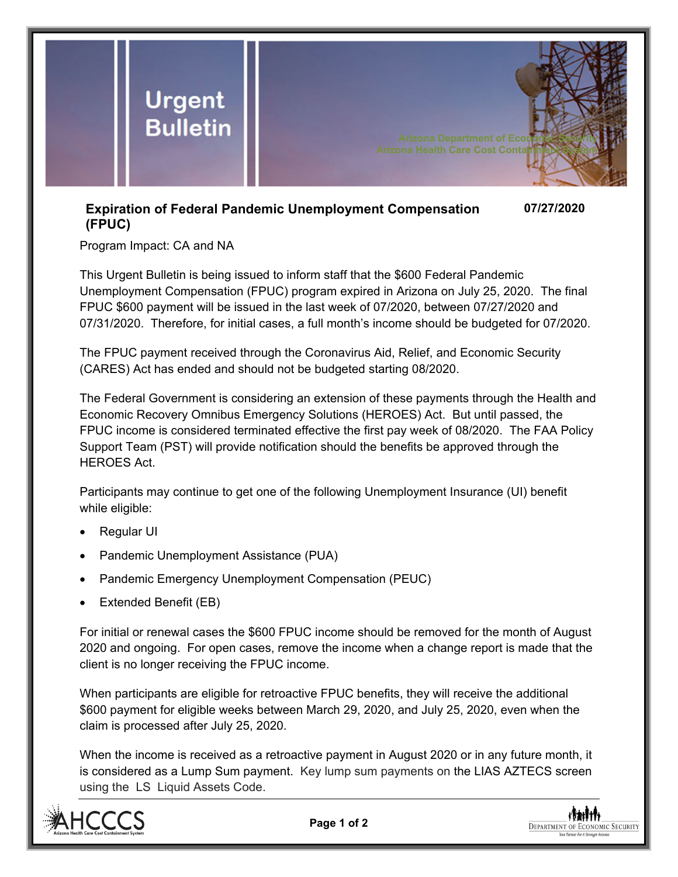

## **Expiration of Federal Pandemic Unemployment Compensation (FPUC) 07/27/2020**

Program Impact: CA and NA

This Urgent Bulletin is being issued to inform staff that the \$600 Federal Pandemic Unemployment Compensation (FPUC) program expired in Arizona on July 25, 2020. The final FPUC \$600 payment will be issued in the last week of 07/2020, between 07/27/2020 and 07/31/2020. Therefore, for initial cases, a full month's income should be budgeted for 07/2020.

The FPUC payment received through the Coronavirus Aid, Relief, and Economic Security (CARES) Act has ended and should not be budgeted starting 08/2020.

The Federal Government is considering an extension of these payments through the Health and Economic Recovery Omnibus Emergency Solutions (HEROES) Act. But until passed, the FPUC income is considered terminated effective the first pay week of 08/2020. The FAA Policy Support Team (PST) will provide notification should the benefits be approved through the HEROES Act.

Participants may continue to get one of the following Unemployment Insurance (UI) benefit while eligible:

- Regular UI
- Pandemic Unemployment Assistance (PUA)
- Pandemic Emergency Unemployment Compensation (PEUC)
- Extended Benefit (EB)

For initial or renewal cases the \$600 FPUC income should be removed for the month of August 2020 and ongoing. For open cases, remove the income when a change report is made that the client is no longer receiving the FPUC income.

When participants are eligible for retroactive FPUC benefits, they will receive the additional \$600 payment for eligible weeks between March 29, 2020, and July 25, 2020, even when the claim is processed after July 25, 2020.

When the income is received as a retroactive payment in August 2020 or in any future month, it is considered as a Lump Sum payment. Key lump sum payments on the LIAS AZTECS screen using the LS Liquid Assets Code.